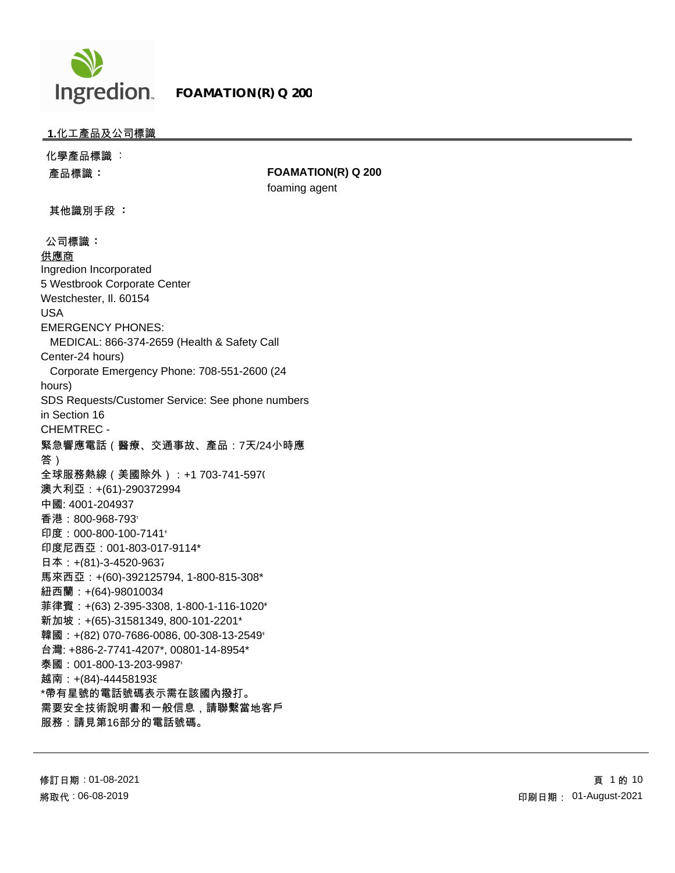

## **1.**化工產品及公司標識

化學產品標識 : 產品標識 **: FOAMATION(R) Q 200** foaming agent 其他識別手段 **:** 公司標識 **:**  供應商 Ingredion Incorporated 5 Westbrook Corporate Center Westchester, Il. 60154 USA EMERGENCY PHONES: MEDICAL: 866-374-2659 (Health & Safety Call Center-24 hours) Corporate Emergency Phone: 708-551-2600 (24 hours) SDS Requests/Customer Service: See phone numbers in Section 16 CHEMTREC - 緊急響應電話(醫療、交通事故、產品:7天/24小時應 答) 全球服務熱線(美國除外):+1 703-741-5970 澳大利亞:+(61)-290372994 中國: 4001-204937 香港:800-968-793\* 印度: 000-800-100-7141\* 印度尼西亞:001-803-017-9114\* 日本:+(81)-3-4520-9637 馬來西亞:+(60)-392125794, 1-800-815-308\* 紐西蘭:+(64)-98010034 菲律賓:+(63) 2-395-3308, 1-800-1-116-1020\* 新加坡:+(65)-31581349, 800-101-2201\* 韓國: +(82) 070-7686-0086, 00-308-13-2549\* 台灣: +886-2-7741-4207\*, 00801-14-8954\* 泰國: 001-800-13-203-9987\* 越南: +(84)-444581938 \*帶有星號的電話號碼表示需在該國內撥打。 需要安全技術說明書和一般信息,請聯繫當地客戶 服務:請見第16部分的電話號碼。

修訂日期 : 01-08-2021 將取代 : 06-08-2019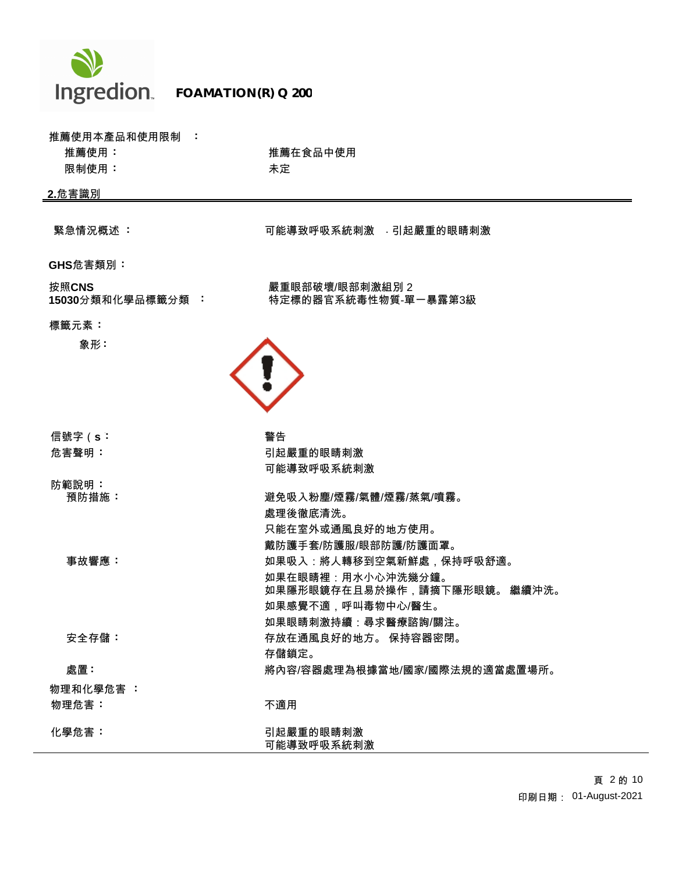

## **FOAMATION(R) Q 200**

| 推薦使用本產品和使用限制 :             |                                        |
|----------------------------|----------------------------------------|
| 推薦使用:                      | 推薦在食品中使用                               |
| 限制使用:                      | 未定                                     |
| 2.危害識別                     |                                        |
|                            |                                        |
| 緊急情況概述 :                   | 可能導致呼吸系統刺激 引起嚴重的眼睛刺激                   |
| <b>GHS</b> 危害類別:           |                                        |
| 按照CNS<br>15030分類和化學品標籤分類 : | 嚴重眼部破壞/眼部刺激組別2<br>特定標的器官系統毒性物質-單一暴露第3級 |
| 標籤元素:                      |                                        |
| 象形:                        |                                        |
|                            |                                        |
|                            |                                        |
|                            |                                        |
| 信號字(s:                     | 警告                                     |
| 危害聲明:                      | 引起嚴重的眼睛刺激                              |
|                            | 可能導致呼吸系統刺激                             |
| 防範說明:                      |                                        |
| 預防措施:                      | 避免吸入粉塵/煙霧/氣體/煙霧/蒸氣/噴霧。<br>處理後徹底清洗。     |
|                            | 只能在室外或通風良好的地方使用。                       |
|                            | 戴防護手套/防護服/眼部防護/防護面罩。                   |
| 事故響應:                      | 如果吸入:將人轉移到空氣新鮮處,保持呼吸舒適。                |
|                            | 如果在眼睛裡:用水小心沖洗幾分鐘。                      |
|                            | 如果隱形眼鏡存在且易於操作,請摘下隱形眼鏡。 繼續沖洗。           |
|                            | 如果感覺不適,呼叫毒物中心/醫生。                      |
|                            | 如果眼睛刺激持續:尋求醫療諮詢/關注。                    |
| 安全存儲:                      | 存放在通風良好的地方。 保持容器密閉。                    |
|                            | 存儲鎖定。                                  |
| 處置:                        | 將內容/容器處理為根據當地/國家/國際法規的適當處置場所。          |
| 物理和化學危害 :                  |                                        |
| 物理危害:                      | 不適用                                    |
| 化學危害:                      | 引起嚴重的眼睛刺激                              |
|                            | 可能導致呼吸系統刺激                             |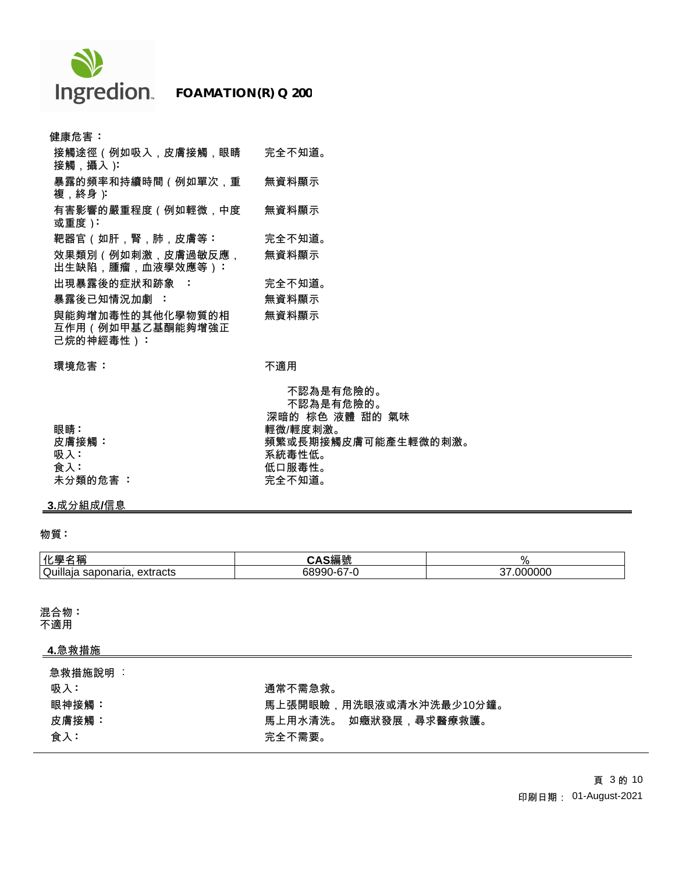

| 健康危害:                                             |        |
|---------------------------------------------------|--------|
| 接觸途徑(例如吸入,皮膚接觸,眼睛<br>接觸,攝入):                      | 完全不知道。 |
| 暴露的頻率和持續時間(例如單次.重<br>複,終身)                        | 無資料顯示  |
| 有害影響的嚴重程度(例如輕微.中度<br>或重度):                        | 無資料顯示  |
| 靶器官(如肝,腎,肺,皮膚等:                                   | 完全不知道。 |
| 效果類別(例如刺激.皮膚過敏反應.<br>出生缺陷,腫瘤,血液學效應等):             | 無資料顯示  |
| 出現暴露後的症狀和跡象 :                                     | 完全不知道。 |
| 暴露後已知情況加劇 :                                       | 無資料顯示  |
| 與能夠增加毒性的其他化學物質的相<br>互作用(例如甲基乙基酮能夠增強正<br>己烷的神經毒性): | 無資料顯示  |

**環境危害:** オンファント のは、不適用

|          | 不認為是有危險的。           |
|----------|---------------------|
|          | 不認為是有危險的。           |
|          |                     |
|          | 深暗的 棕色 液體 甜的 氣味     |
| 眼睛:      | 輕微/輕度刺激。            |
| 皮膚接觸:    | 頻繁或長期接觸皮膚可能產生輕微的刺激。 |
| 吸入:      | 系統毒性低。              |
| 食入:      | 低口服毒性。              |
| 未分類的危害 : | 完全不知道。              |

# **3.**成分組成**/**信息

## 物質 **:**

| 化學名                                | ຺ດ∛⊟ ‼∌                               | ο.            |
|------------------------------------|---------------------------------------|---------------|
| 名稱                                 | ⊃細弧                                   | 70            |
| Quillaia<br>extracts<br>saponaria. | $\sim$<br>68990<br>11 I-h / -1<br>. . | .000000<br>~- |

混合物 **:**

不適用

# **4.**急救措施

| 急救措施說明 |                         |
|--------|-------------------------|
| 吸入:    | 通常不需急救。                 |
| 眼神接觸:  | 馬上張開眼瞼,用洗眼液或清水沖洗最少10分鐘。 |
| 皮膚接觸:  | 馬上用水清洗。 如癥狀發展,尋求醫療救護。   |
| 食入:    | 完全不需要。                  |
|        |                         |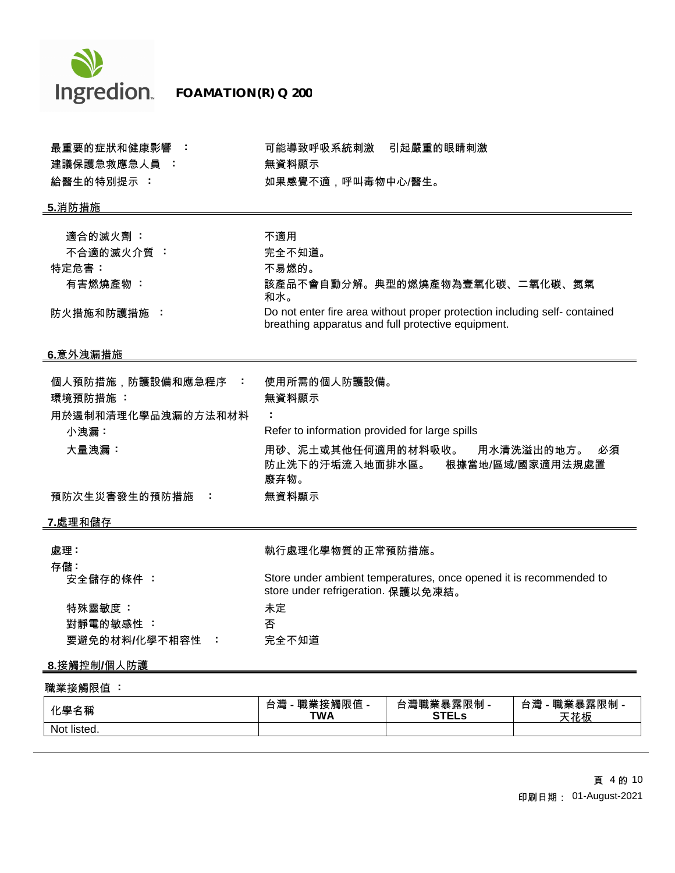

 **FOAMATION(R) Q 200**

| 最重要的症狀和健康影響:<br>建議保護急救應急人員: | 可能導致呼吸系統刺激<br>引起嚴重的眼睛刺激<br>無資料顯示                                                                                                 |
|-----------------------------|----------------------------------------------------------------------------------------------------------------------------------|
| 給醫生的特別提示:                   | 如果感覺不適,呼叫毒物中心/醫生。                                                                                                                |
|                             |                                                                                                                                  |
| <u>5.消防措施</u>               |                                                                                                                                  |
|                             |                                                                                                                                  |
| 適合的滅火劑:                     | 不適用                                                                                                                              |
| 不合適的滅火介質:                   | 完全不知道。                                                                                                                           |
| 特定危害:                       | 不易燃的。                                                                                                                            |
| 有害燃燒產物:                     | 該產品不會自動分解。典型的燃燒產物為壹氧化碳、二氧化碳、氮氣<br>和水。                                                                                            |
| 防火措施和防護措施 :                 | Do not enter fire area without proper protection including self- contained<br>breathing apparatus and full protective equipment. |
| <u>_6.意外洩漏措施</u>            |                                                                                                                                  |
| 個人預防措施,防護設備和應急程序<br>÷       | 使用所需的個人防護設備。                                                                                                                     |
| 環境預防措施:                     | 無資料顯示                                                                                                                            |
|                             |                                                                                                                                  |
| 用於遏制和清理化學品洩漏的方法和材料          |                                                                                                                                  |
| 小洩漏:                        | Refer to information provided for large spills                                                                                   |
| 大量洩漏:                       | 用砂、泥土或其他任何適用的材料吸收。 用水清洗溢出的地方。<br>必須<br>防止洗下的汙垢流入地面排水區。<br>根據當地/區域/國家適用法規處置<br>廢弃物。                                               |
| 預防次生災害發生的預防措施<br>÷          | 無資料顯示                                                                                                                            |
|                             |                                                                                                                                  |
| <u>7.處理和儲存</u>              |                                                                                                                                  |
| 處理:                         | 執行處理化學物質的正常預防措施。                                                                                                                 |
| 存儲:                         |                                                                                                                                  |
| 安全儲存的條件:                    | Store under ambient temperatures, once opened it is recommended to<br>store under refrigeration. 保護以免凍結。                         |
| 特殊靈敏度:                      | 未定                                                                                                                               |
| 對靜電的敏感性:                    | 否                                                                                                                                |
| 要避免的材料/化學不相容性<br>- 1        | 完全不知道                                                                                                                            |
| 8.接觸控制/個人防護                 |                                                                                                                                  |

| 化學名稱        | <b>職業接觸限值 -</b><br>-44<br>台灣<br><b>TWA</b> | 精,<br>, 美暴露限制 -<br>Ē<br>⊸<br><b>STELs</b> | 職業暴<br>台*<br>.暴露限制 -<br>一潭<br>----<br>花板 |
|-------------|--------------------------------------------|-------------------------------------------|------------------------------------------|
| Not listed. |                                            |                                           |                                          |

 頁 4 的 10 印刷日期: 01-August-2021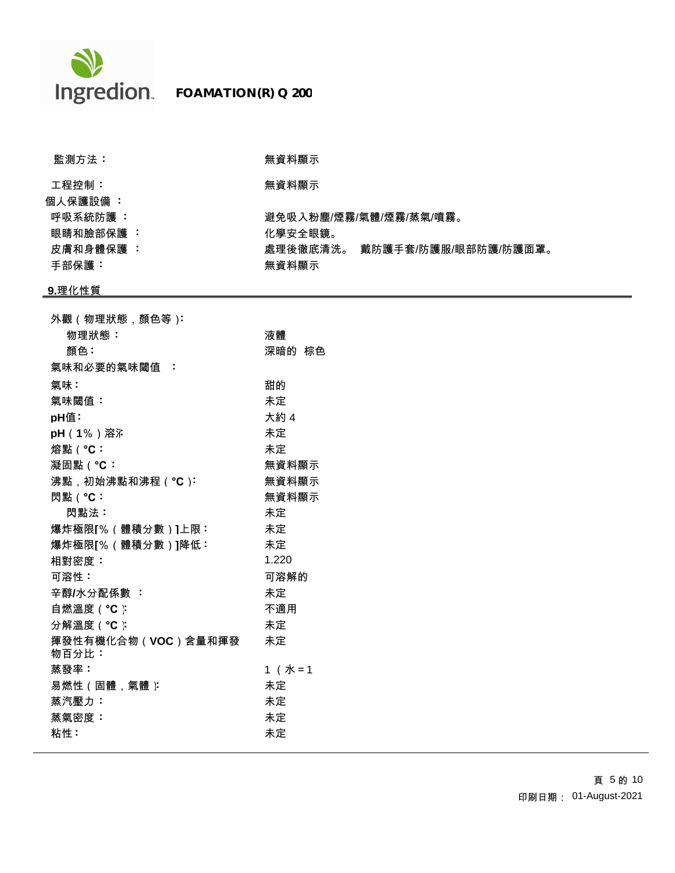

| 監測方法:                 | 無資料顯示             |                        |
|-----------------------|-------------------|------------------------|
| 工程控制:<br>個人保護設備 :     | 無資料顯示             |                        |
| 呼吸系統防護 :<br>眼睛和臉部保護 : | 化學安全眼鏡。           | 避免吸入粉塵/煙霧/氣體/煙霧/蒸氣/噴霧。 |
| 皮膚和身體保護 :<br>手部保護:    | 處理後徹底清洗。<br>無資料顯示 | 戴防護手套/防護服/眼部防護/防護面罩。   |

# **9.**理化性質

| 外觀(物理狀態,顏色等):               |          |
|-----------------------------|----------|
| 物理狀態:                       | 液體       |
| 顏色:                         | 深暗的 棕色   |
| 氣味和必要的氣味閾值 :                |          |
| 氣味:                         | 甜的       |
| 氣味閾值:                       | 未定       |
| pH值∶                        | 大約 4     |
|                             | 未定       |
| 熔點 ( °C:                    | 未定       |
| 凝固點(°C:                     | 無資料顯示    |
| 沸點,初始沸點和沸程(°C):             | 無資料顯示    |
| 閃點 ( °C:                    | 無資料顯示    |
| 閃點法:                        | 未定       |
| 爆炸極限[%(體積分數)]上限:            | 未定       |
| 爆炸極限[%(體積分數)]降低:            | 未定       |
| 相對密度:                       | 1.220    |
| 可溶性:                        | 可溶解的     |
| 辛醇/水分配係數 :                  | 未定       |
| 自燃溫度 ( °C ):                | 不適用      |
| 分解溫度(°C)                    | 未定       |
| 揮發性有機化合物(VOC)含量和揮發<br>物百分比: | 未定       |
| 蒸發率:                        | $1$ (水=1 |
| 易燃性(固體,氣體)                  | 未定       |
| 蒸汽壓力:                       | 未定       |
| 蒸氣密度:                       | 未定       |
| 粘性:                         | 未定       |
|                             |          |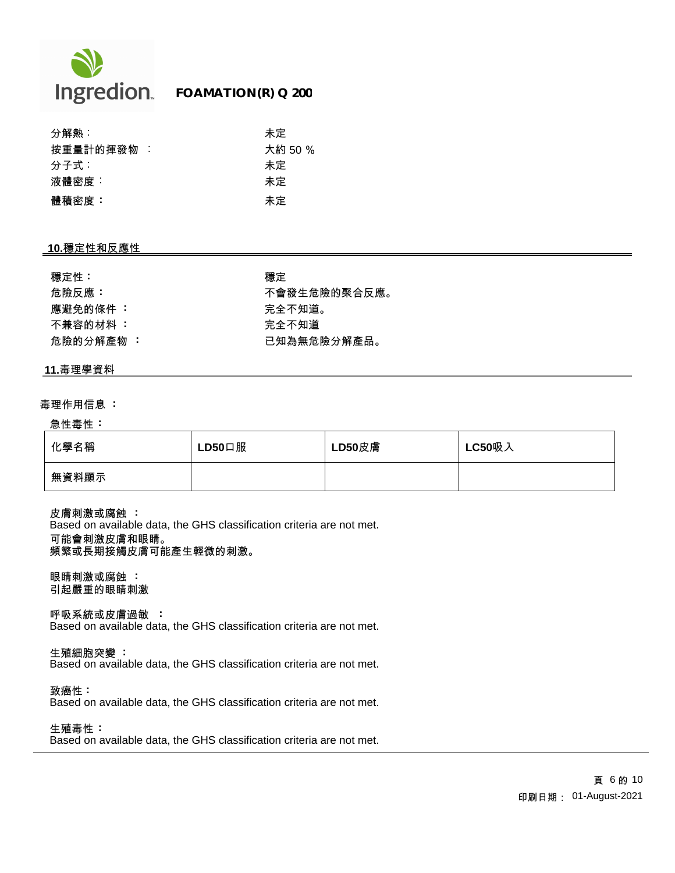

| 分解熱:       | 未定      |
|------------|---------|
| 按重量計的揮發物 : | 大約 50 % |
| 分子式:       | 未定      |
| 液體密度:      | 未定      |
| 體積密度:      | 未定      |

## **10.**穩定性和反應性

| 穩定性:      | 穩定 |
|-----------|----|
| 危險反應:     | 不會 |
| 應避免的條件 :  | 完全 |
| 不兼容的材料 :  | 完全 |
| 危險的分解產物 : | 已知 |

危險反應 **:** 不會發生危險的聚合反應。 應避免的條件 **:** 完全不知道。 不兼容的材料 **:** 完全不知道 危險的分解產物 **:** 已知為無危險分解產品。

## **11.**毒理學資料

#### 毒理作用信息 **:**

#### 急性毒性 **:**

| 化學名稱  | $LD50$ 口服 | LD50皮膚 | <b>LC50吸入</b> |
|-------|-----------|--------|---------------|
| 無資料顯示 |           |        |               |

皮膚刺激或腐蝕 **:** Based on available data, the GHS classification criteria are not met. 可能會刺激皮膚和眼睛。 頻繁或長期接觸皮膚可能產生輕微的刺激。

眼睛刺激或腐蝕 **:** 引起嚴重的眼睛刺激

呼吸系統或皮膚過敏 **:** Based on available data, the GHS classification criteria are not met.

生殖細胞突變 **:**

Based on available data, the GHS classification criteria are not met.

致癌性 **:**

Based on available data, the GHS classification criteria are not met.

生殖毒性 **:**

Based on available data, the GHS classification criteria are not met.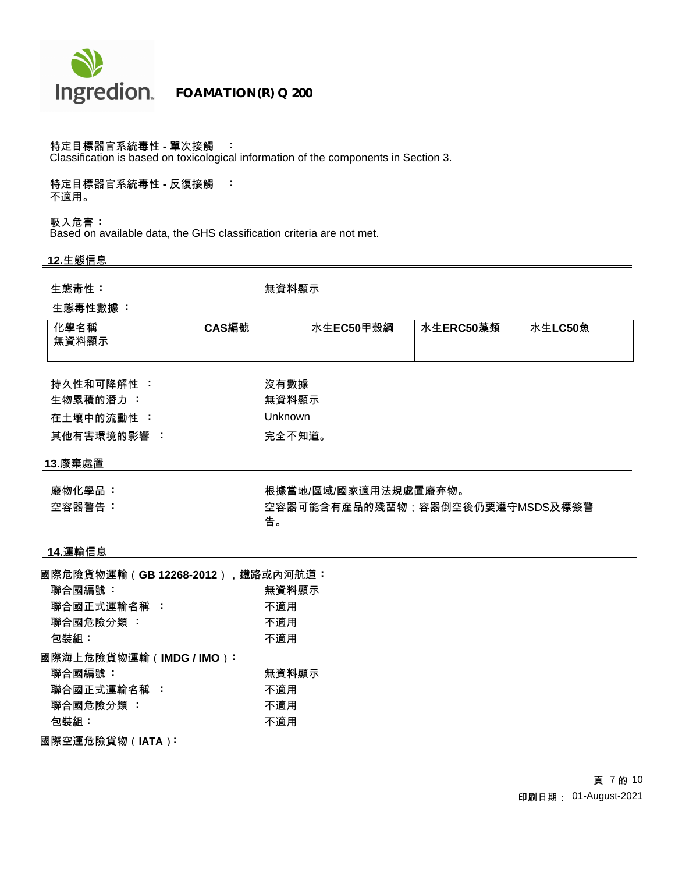

## 特定目標器官系統毒性 **-** 單次接觸 **:**

Classification is based on toxicological information of the components in Section 3.

特定目標器官系統毒性 **-** 反復接觸 **:** 不適用。

吸入危害 **:** Based on available data, the GHS classification criteria are not met.

## **12.**生態信息

生態毒性 : **1. インスティック さんきょう 無資料顯示** 

#### 生態毒性數據 **:**

| 化學名稱  | CAS編號 | 水生EC50甲殼綱 | 水生ERC50藻類 | 水生LC50魚 |
|-------|-------|-----------|-----------|---------|
| 無資料顯示 |       |           |           |         |
|       |       |           |           |         |

| 持久性和可降解性 :  | 沒有數據    |
|-------------|---------|
| 牛物累積的潛力:    | 無資料顯示   |
| 在十壤中的流動性 :  | Unknown |
| 其他有害環境的影響 : | 完全不知道。  |

### **13.**廢棄處置

廢物化學品 **· 根據當地/區域/國家適用法規處置廢弃物。** 空容器警告 **:** 空容器可能含有産品的殘畱物;容器倒空後仍要遵守MSDS及標簽警 告。

#### **14.**運輸信息

| 國際危險貨物運輸(GB 12268-2012),鐵路或內河航道: |       |
|----------------------------------|-------|
| 聯合國編號:                           | 無資料顯示 |
| 聯合國正式運輸名稱 :                      | 不適用   |
| 聯合國危險分類 :                        | 不適用   |
| 包裝組:                             | 不適用   |
| 國際海上危險貨物運輸(IMDG/IMO):            |       |
| 聯合國編號:                           | 無資料顯示 |
| 聯合國正式運輸名稱 :                      | 不適用   |
| 聯合國危險分類:                         | 不適用   |
| 包裝組:                             | 不適用   |
| 國際空運危險貨物(IATA):                  |       |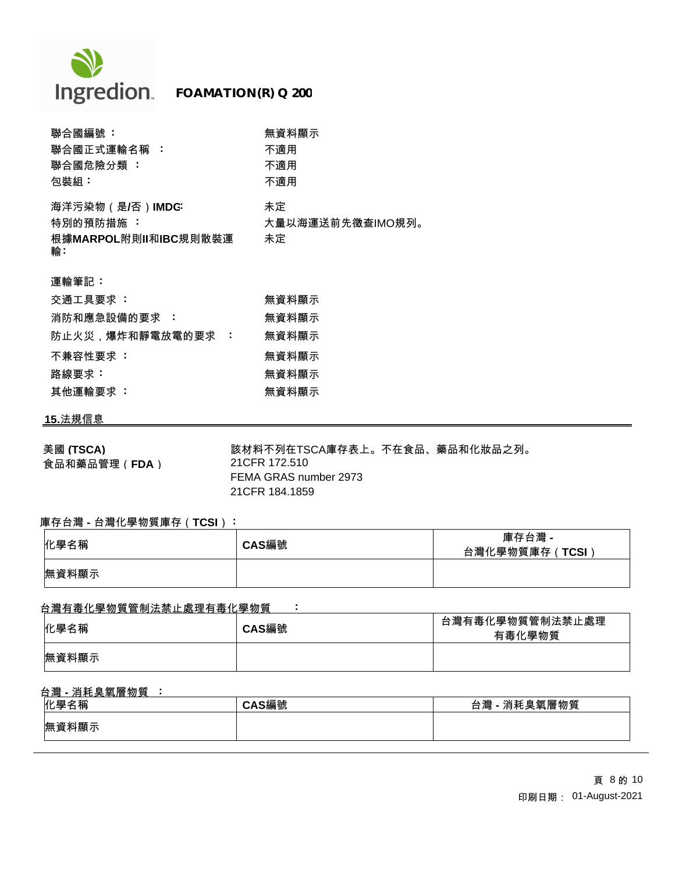

| 聯合國編號:                       | 無資料顯示                  |
|------------------------------|------------------------|
| 聯合國正式運輸名稱 :                  | 不適用                    |
| 聯合國危險分類 :                    | 不適用                    |
| 包裝組:                         | 不適用                    |
| 海洋污染物(是/否)IMDG:<br>特別的預防措施 : | 未定<br>大量以海運送前先徵查IMO規列。 |
| 根據MARPOL附則Ⅱ和IBC規則散裝運<br>輸:   | 未定                     |
| 運輸筆記:                        |                        |
| 交通工具要求 :                     | 無資料顯示                  |
| 消防和應急設備的要求 :                 | 無資料顯示                  |
| 防止火災,爆炸和靜電放電的要求 :            | 無資料顯示                  |
| 不兼容性要求:                      | 無資料顯示                  |

个<mark>兼谷性要水 · フィック · 機関の · 無貨科顯</mark> 路線要求 **:** 無資料顯示 其他運輸要求 : **2000年 : 2000年 : 2000年 : 2000年 : 2000年 : 2000年 : 2000年 : 2000年 : 2000年 : 2000年 : 2000年 : 2000年 : 2000年 : 2000年 : 2000年 : 2000年 : 2000年 : 2000年 : 2000年 : 2000年 : 2000年 : 2000年 : 2000年 : 2000年 : 2000年 : 2000年 : 200** 

### **15.**法規信息

美國 **(TSCA)** 該材料不列在TSCA庫存表上。不在食品、藥品和化妝品之列。 食品和藥品管理(**FDA**) 21CFR 172.510 FEMA GRAS number 2973 21CFR 184.1859

### 庫存台灣 **-** 台灣化學物質庫存(**TCSI**) **:**

| 化學名稱  | CAS編號 | 庫存台灣 -<br>台灣化學物質庫存 (TCSI) |
|-------|-------|---------------------------|
| 無資料顯示 |       |                           |

#### 台灣有毒化學物質管制法禁止處理有毒化學物質 **:**

| 化學名稱  | CAS編號 | 台灣有毒化學物質管制法禁止處理<br>有毒化學物質 |
|-------|-------|---------------------------|
| 無資料顯示 |       |                           |

# 台灣 **-** 消耗臭氧層物質 **:**

| 化學名稱  | <b>\S編號</b> | 消耗臭氧層物質<br>台灣 |
|-------|-------------|---------------|
| 無資料顯示 |             |               |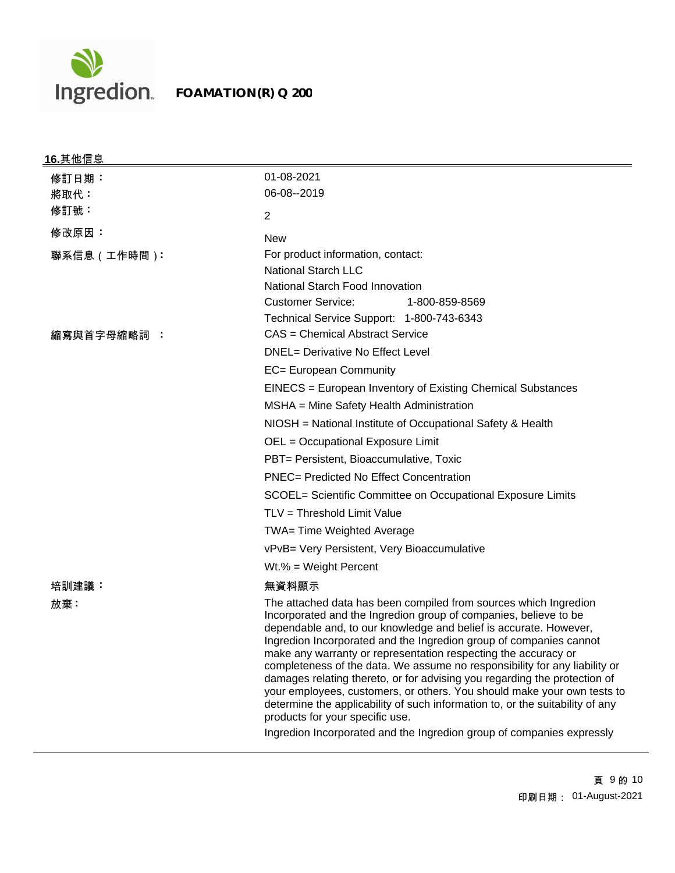

# **FOAMATION(R) Q 200**

| <u>16.其他信息</u> |                                                                                                                                                                                                                                                                                                                                                                                                                                                                                                                                                                                                                                                                                                                                                                                      |
|----------------|--------------------------------------------------------------------------------------------------------------------------------------------------------------------------------------------------------------------------------------------------------------------------------------------------------------------------------------------------------------------------------------------------------------------------------------------------------------------------------------------------------------------------------------------------------------------------------------------------------------------------------------------------------------------------------------------------------------------------------------------------------------------------------------|
| 修訂日期:          | 01-08-2021                                                                                                                                                                                                                                                                                                                                                                                                                                                                                                                                                                                                                                                                                                                                                                           |
| 將取代:           | 06-08--2019                                                                                                                                                                                                                                                                                                                                                                                                                                                                                                                                                                                                                                                                                                                                                                          |
| 修訂號:           | $\overline{2}$                                                                                                                                                                                                                                                                                                                                                                                                                                                                                                                                                                                                                                                                                                                                                                       |
| 修改原因:          | <b>New</b>                                                                                                                                                                                                                                                                                                                                                                                                                                                                                                                                                                                                                                                                                                                                                                           |
| 聯系信息(工作時間):    | For product information, contact:<br><b>National Starch LLC</b><br>National Starch Food Innovation<br><b>Customer Service:</b><br>1-800-859-8569<br>Technical Service Support: 1-800-743-6343                                                                                                                                                                                                                                                                                                                                                                                                                                                                                                                                                                                        |
| 縮寫與首字母縮略詞 :    | CAS = Chemical Abstract Service                                                                                                                                                                                                                                                                                                                                                                                                                                                                                                                                                                                                                                                                                                                                                      |
|                | <b>DNEL= Derivative No Effect Level</b><br>EC= European Community                                                                                                                                                                                                                                                                                                                                                                                                                                                                                                                                                                                                                                                                                                                    |
|                | EINECS = European Inventory of Existing Chemical Substances                                                                                                                                                                                                                                                                                                                                                                                                                                                                                                                                                                                                                                                                                                                          |
|                | MSHA = Mine Safety Health Administration                                                                                                                                                                                                                                                                                                                                                                                                                                                                                                                                                                                                                                                                                                                                             |
|                | NIOSH = National Institute of Occupational Safety & Health                                                                                                                                                                                                                                                                                                                                                                                                                                                                                                                                                                                                                                                                                                                           |
|                | OEL = Occupational Exposure Limit                                                                                                                                                                                                                                                                                                                                                                                                                                                                                                                                                                                                                                                                                                                                                    |
|                | PBT= Persistent, Bioaccumulative, Toxic                                                                                                                                                                                                                                                                                                                                                                                                                                                                                                                                                                                                                                                                                                                                              |
|                | <b>PNEC= Predicted No Effect Concentration</b>                                                                                                                                                                                                                                                                                                                                                                                                                                                                                                                                                                                                                                                                                                                                       |
|                | SCOEL= Scientific Committee on Occupational Exposure Limits                                                                                                                                                                                                                                                                                                                                                                                                                                                                                                                                                                                                                                                                                                                          |
|                | TLV = Threshold Limit Value                                                                                                                                                                                                                                                                                                                                                                                                                                                                                                                                                                                                                                                                                                                                                          |
|                | TWA= Time Weighted Average                                                                                                                                                                                                                                                                                                                                                                                                                                                                                                                                                                                                                                                                                                                                                           |
|                | vPvB= Very Persistent, Very Bioaccumulative                                                                                                                                                                                                                                                                                                                                                                                                                                                                                                                                                                                                                                                                                                                                          |
|                | $Wt.\% = Weight Percent$                                                                                                                                                                                                                                                                                                                                                                                                                                                                                                                                                                                                                                                                                                                                                             |
| 培訓建議:          | 無資料顯示                                                                                                                                                                                                                                                                                                                                                                                                                                                                                                                                                                                                                                                                                                                                                                                |
| 放棄:            | The attached data has been compiled from sources which Ingredion<br>Incorporated and the Ingredion group of companies, believe to be<br>dependable and, to our knowledge and belief is accurate. However,<br>Ingredion Incorporated and the Ingredion group of companies cannot<br>make any warranty or representation respecting the accuracy or<br>completeness of the data. We assume no responsibility for any liability or<br>damages relating thereto, or for advising you regarding the protection of<br>your employees, customers, or others. You should make your own tests to<br>determine the applicability of such information to, or the suitability of any<br>products for your specific use.<br>Ingredion Incorporated and the Ingredion group of companies expressly |
|                |                                                                                                                                                                                                                                                                                                                                                                                                                                                                                                                                                                                                                                                                                                                                                                                      |